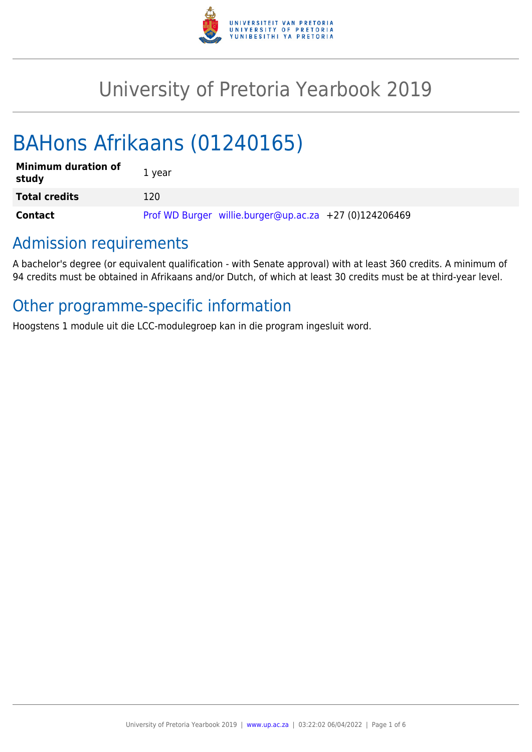

# University of Pretoria Yearbook 2019

# BAHons Afrikaans (01240165)

| <b>Minimum duration of</b><br>study | 1 year                                                 |
|-------------------------------------|--------------------------------------------------------|
| <b>Total credits</b>                | 120                                                    |
| Contact                             | Prof WD Burger willie.burger@up.ac.za +27 (0)124206469 |

# Admission requirements

A bachelor's degree (or equivalent qualification - with Senate approval) with at least 360 credits. A minimum of 94 credits must be obtained in Afrikaans and/or Dutch, of which at least 30 credits must be at third-year level.

# Other programme-specific information

Hoogstens 1 module uit die LCC-modulegroep kan in die program ingesluit word.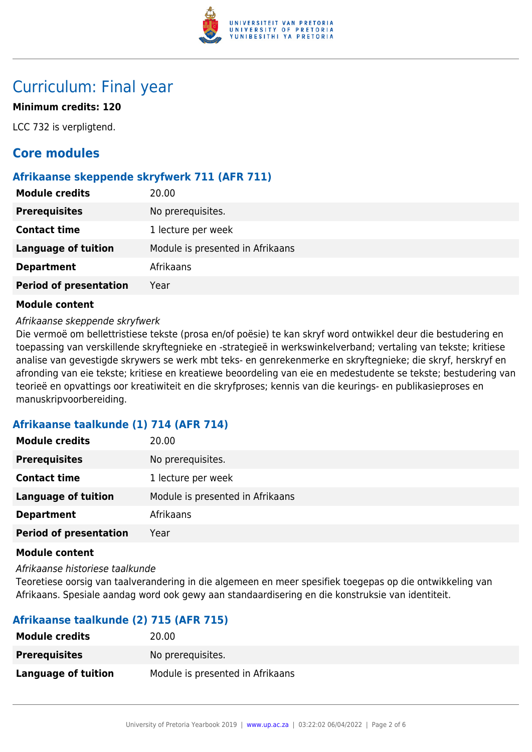

# Curriculum: Final year

# **Minimum credits: 120**

LCC 732 is verpligtend.

# **Core modules**

# **Afrikaanse skeppende skryfwerk 711 (AFR 711)**

| <b>Module credits</b>         | 20.00                            |
|-------------------------------|----------------------------------|
| <b>Prerequisites</b>          | No prerequisites.                |
| <b>Contact time</b>           | 1 lecture per week               |
| <b>Language of tuition</b>    | Module is presented in Afrikaans |
| <b>Department</b>             | Afrikaans                        |
| <b>Period of presentation</b> | Year                             |

## **Module content**

### Afrikaanse skeppende skryfwerk

Die vermoë om bellettristiese tekste (prosa en/of poësie) te kan skryf word ontwikkel deur die bestudering en toepassing van verskillende skryftegnieke en -strategieë in werkswinkelverband; vertaling van tekste; kritiese analise van gevestigde skrywers se werk mbt teks- en genrekenmerke en skryftegnieke; die skryf, herskryf en afronding van eie tekste; kritiese en kreatiewe beoordeling van eie en medestudente se tekste; bestudering van teorieë en opvattings oor kreatiwiteit en die skryfproses; kennis van die keurings- en publikasieproses en manuskripvoorbereiding.

# **Afrikaanse taalkunde (1) 714 (AFR 714)**

| 20.00                            |
|----------------------------------|
| No prerequisites.                |
| 1 lecture per week               |
| Module is presented in Afrikaans |
| Afrikaans                        |
| Year                             |
|                                  |

#### **Module content**

Afrikaanse historiese taalkunde

Teoretiese oorsig van taalverandering in die algemeen en meer spesifiek toegepas op die ontwikkeling van Afrikaans. Spesiale aandag word ook gewy aan standaardisering en die konstruksie van identiteit.

# **Afrikaanse taalkunde (2) 715 (AFR 715)**

| <b>Module credits</b> | 20.00                            |
|-----------------------|----------------------------------|
| <b>Prerequisites</b>  | No prerequisites.                |
| Language of tuition   | Module is presented in Afrikaans |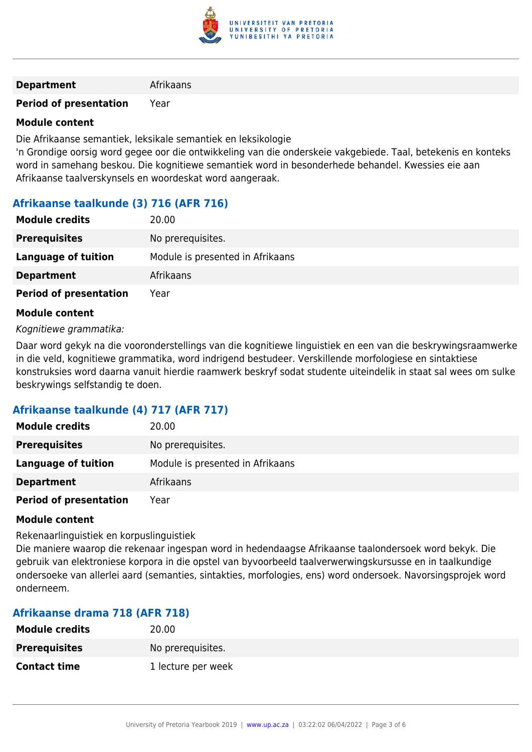

#### **Department** Afrikaans

## **Period of presentation** Year

## **Module content**

Die Afrikaanse semantiek, leksikale semantiek en leksikologie

'n Grondige oorsig word gegee oor die ontwikkeling van die onderskeie vakgebiede. Taal, betekenis en konteks word in samehang beskou. Die kognitiewe semantiek word in besonderhede behandel. Kwessies eie aan Afrikaanse taalverskynsels en woordeskat word aangeraak.

# **Afrikaanse taalkunde (3) 716 (AFR 716)**

| <b>Module credits</b>         | 20.00                            |
|-------------------------------|----------------------------------|
| <b>Prerequisites</b>          | No prerequisites.                |
| Language of tuition           | Module is presented in Afrikaans |
| <b>Department</b>             | Afrikaans                        |
| <b>Period of presentation</b> | Year                             |

### **Module content**

#### Kognitiewe grammatika:

Daar word gekyk na die vooronderstellings van die kognitiewe linguistiek en een van die beskrywingsraamwerke in die veld, kognitiewe grammatika, word indrigend bestudeer. Verskillende morfologiese en sintaktiese konstruksies word daarna vanuit hierdie raamwerk beskryf sodat studente uiteindelik in staat sal wees om sulke beskrywings selfstandig te doen.

# **Afrikaanse taalkunde (4) 717 (AFR 717)**

| <b>Module credits</b>         | 20.00                            |
|-------------------------------|----------------------------------|
| <b>Prerequisites</b>          | No prerequisites.                |
| <b>Language of tuition</b>    | Module is presented in Afrikaans |
| <b>Department</b>             | Afrikaans                        |
| <b>Period of presentation</b> | Year                             |

#### **Module content**

Rekenaarlinguistiek en korpuslinguistiek

Die maniere waarop die rekenaar ingespan word in hedendaagse Afrikaanse taalondersoek word bekyk. Die gebruik van elektroniese korpora in die opstel van byvoorbeeld taalverwerwingskursusse en in taalkundige ondersoeke van allerlei aard (semanties, sintakties, morfologies, ens) word ondersoek. Navorsingsprojek word onderneem.

# **Afrikaanse drama 718 (AFR 718)**

| <b>Module credits</b> | 20.00              |
|-----------------------|--------------------|
| <b>Prerequisites</b>  | No prerequisites.  |
| <b>Contact time</b>   | 1 lecture per week |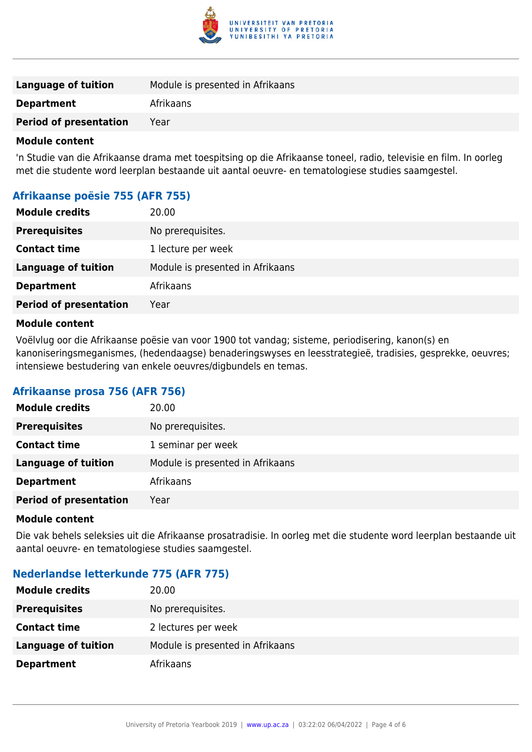

| Language of tuition           | Module is presented in Afrikaans |
|-------------------------------|----------------------------------|
| <b>Department</b>             | Afrikaans                        |
| <b>Period of presentation</b> | Year                             |
|                               |                                  |

#### **Module content**

'n Studie van die Afrikaanse drama met toespitsing op die Afrikaanse toneel, radio, televisie en film. In oorleg met die studente word leerplan bestaande uit aantal oeuvre- en tematologiese studies saamgestel.

# **Afrikaanse poësie 755 (AFR 755)**

| <b>Module credits</b>         | 20.00                            |
|-------------------------------|----------------------------------|
| <b>Prerequisites</b>          | No prerequisites.                |
| <b>Contact time</b>           | 1 lecture per week               |
| <b>Language of tuition</b>    | Module is presented in Afrikaans |
| <b>Department</b>             | Afrikaans                        |
| <b>Period of presentation</b> | Year                             |
|                               |                                  |

#### **Module content**

Voëlvlug oor die Afrikaanse poësie van voor 1900 tot vandag; sisteme, periodisering, kanon(s) en kanoniseringsmeganismes, (hedendaagse) benaderingswyses en leesstrategieë, tradisies, gesprekke, oeuvres; intensiewe bestudering van enkele oeuvres/digbundels en temas.

## **Afrikaanse prosa 756 (AFR 756)**

| <b>Module credits</b>         | 20.00                            |
|-------------------------------|----------------------------------|
| <b>Prerequisites</b>          | No prerequisites.                |
| <b>Contact time</b>           | 1 seminar per week               |
| <b>Language of tuition</b>    | Module is presented in Afrikaans |
| <b>Department</b>             | Afrikaans                        |
| <b>Period of presentation</b> | Year                             |
|                               |                                  |

#### **Module content**

Die vak behels seleksies uit die Afrikaanse prosatradisie. In oorleg met die studente word leerplan bestaande uit aantal oeuvre- en tematologiese studies saamgestel.

# **Nederlandse letterkunde 775 (AFR 775)**

| <b>Module credits</b> | 20.00                            |
|-----------------------|----------------------------------|
| <b>Prerequisites</b>  | No prerequisites.                |
| <b>Contact time</b>   | 2 lectures per week              |
| Language of tuition   | Module is presented in Afrikaans |
| <b>Department</b>     | Afrikaans                        |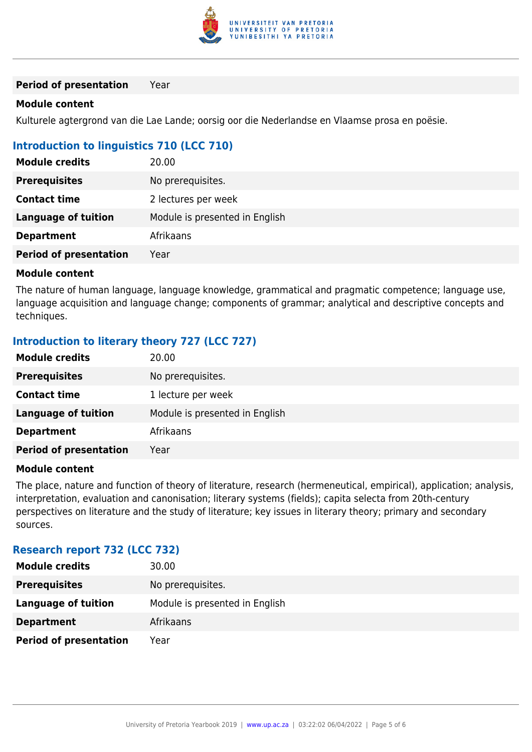

**Period of presentation** Year

#### **Module content**

Kulturele agtergrond van die Lae Lande; oorsig oor die Nederlandse en Vlaamse prosa en poësie.

# **Introduction to linguistics 710 (LCC 710)**

| <b>Module credits</b>         | 20.00                          |
|-------------------------------|--------------------------------|
| <b>Prerequisites</b>          | No prerequisites.              |
| <b>Contact time</b>           | 2 lectures per week            |
| <b>Language of tuition</b>    | Module is presented in English |
| <b>Department</b>             | Afrikaans                      |
| <b>Period of presentation</b> | Year                           |

#### **Module content**

The nature of human language, language knowledge, grammatical and pragmatic competence; language use, language acquisition and language change; components of grammar; analytical and descriptive concepts and techniques.

# **Introduction to literary theory 727 (LCC 727)**

| <b>Module credits</b>         | 20.00                          |
|-------------------------------|--------------------------------|
| <b>Prerequisites</b>          | No prerequisites.              |
| <b>Contact time</b>           | 1 lecture per week             |
| <b>Language of tuition</b>    | Module is presented in English |
| <b>Department</b>             | Afrikaans                      |
| <b>Period of presentation</b> | Year                           |

### **Module content**

The place, nature and function of theory of literature, research (hermeneutical, empirical), application; analysis, interpretation, evaluation and canonisation; literary systems (fields); capita selecta from 20th-century perspectives on literature and the study of literature; key issues in literary theory; primary and secondary sources.

## **Research report 732 (LCC 732)**

| <b>Module credits</b>         | 30.00                          |
|-------------------------------|--------------------------------|
| <b>Prerequisites</b>          | No prerequisites.              |
| Language of tuition           | Module is presented in English |
| <b>Department</b>             | Afrikaans                      |
| <b>Period of presentation</b> | Year                           |